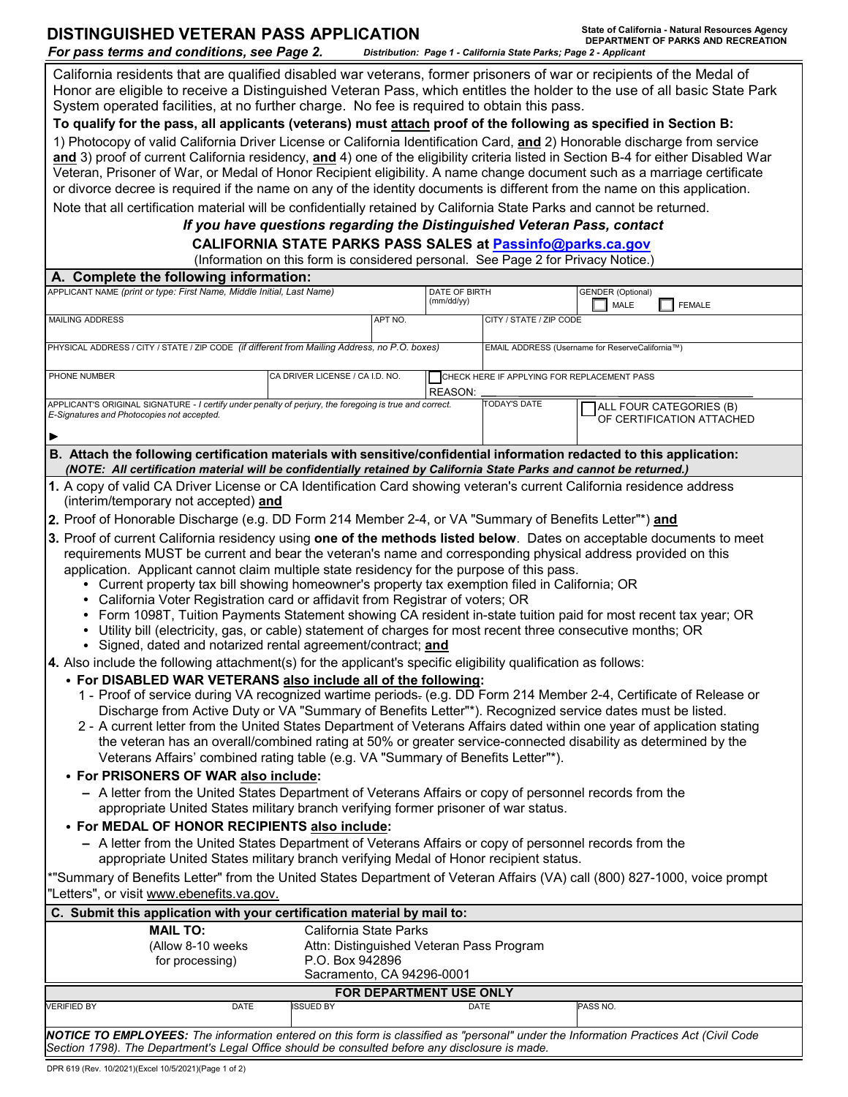| <b>DISTINGUISHED VETERAN PASS APPLICATION</b><br>For pass terms and conditions, see Page 2.                                                                                                                                                                                                                                                                                                  |                 |                                 |                                                                                         |                                                 | Distribution: Page 1 - California State Parks; Page 2 - Applicant | State of California - Natural Resources Agency<br>DEPARTMENT OF PARKS AND RECREATION |  |
|----------------------------------------------------------------------------------------------------------------------------------------------------------------------------------------------------------------------------------------------------------------------------------------------------------------------------------------------------------------------------------------------|-----------------|---------------------------------|-----------------------------------------------------------------------------------------|-------------------------------------------------|-------------------------------------------------------------------|--------------------------------------------------------------------------------------|--|
| California residents that are qualified disabled war veterans, former prisoners of war or recipients of the Medal of<br>Honor are eligible to receive a Distinguished Veteran Pass, which entitles the holder to the use of all basic State Park<br>System operated facilities, at no further charge. No fee is required to obtain this pass.                                                |                 |                                 |                                                                                         |                                                 |                                                                   |                                                                                      |  |
| To qualify for the pass, all applicants (veterans) must attach proof of the following as specified in Section B:                                                                                                                                                                                                                                                                             |                 |                                 |                                                                                         |                                                 |                                                                   |                                                                                      |  |
| 1) Photocopy of valid California Driver License or California Identification Card, and 2) Honorable discharge from service<br>and 3) proof of current California residency, and 4) one of the eligibility criteria listed in Section B-4 for either Disabled War<br>Veteran, Prisoner of War, or Medal of Honor Recipient eligibility. A name change document such as a marriage certificate |                 |                                 |                                                                                         |                                                 |                                                                   |                                                                                      |  |
| or divorce decree is required if the name on any of the identity documents is different from the name on this application.                                                                                                                                                                                                                                                                   |                 |                                 |                                                                                         |                                                 |                                                                   |                                                                                      |  |
| Note that all certification material will be confidentially retained by California State Parks and cannot be returned.<br>If you have questions regarding the Distinguished Veteran Pass, contact                                                                                                                                                                                            |                 |                                 |                                                                                         |                                                 |                                                                   |                                                                                      |  |
| <b>CALIFORNIA STATE PARKS PASS SALES at Passinfo@parks.ca.gov</b>                                                                                                                                                                                                                                                                                                                            |                 |                                 |                                                                                         |                                                 |                                                                   |                                                                                      |  |
| (Information on this form is considered personal. See Page 2 for Privacy Notice.)                                                                                                                                                                                                                                                                                                            |                 |                                 |                                                                                         |                                                 |                                                                   |                                                                                      |  |
| A. Complete the following information:                                                                                                                                                                                                                                                                                                                                                       |                 |                                 |                                                                                         |                                                 |                                                                   |                                                                                      |  |
| APPLICANT NAME (print or type: First Name, Middle Initial, Last Name)                                                                                                                                                                                                                                                                                                                        |                 |                                 | DATE OF BIRTH<br><b>GENDER (Optional)</b><br>(mm/dd/yy)<br><b>MALE</b><br><b>FEMALE</b> |                                                 |                                                                   |                                                                                      |  |
| MAILING ADDRESS                                                                                                                                                                                                                                                                                                                                                                              |                 | APT NO.                         |                                                                                         | CITY / STATE / ZIP CODE                         |                                                                   |                                                                                      |  |
| PHYSICAL ADDRESS / CITY / STATE / ZIP CODE (if different from Mailing Address, no P.O. boxes)                                                                                                                                                                                                                                                                                                |                 |                                 |                                                                                         | EMAIL ADDRESS (Username for ReserveCalifornia™) |                                                                   |                                                                                      |  |
| PHONE NUMBER                                                                                                                                                                                                                                                                                                                                                                                 |                 | CA DRIVER LICENSE / CA I.D. NO. |                                                                                         |                                                 | CHECK HERE IF APPLYING FOR REPLACEMENT PASS                       |                                                                                      |  |
| APPLICANT'S ORIGINAL SIGNATURE - I certify under penalty of perjury, the foregoing is true and correct.<br>E-Signatures and Photocopies not accepted.                                                                                                                                                                                                                                        |                 |                                 | REASON:                                                                                 | <b>TODAY'S DATE</b>                             |                                                                   | ALL FOUR CATEGORIES (B)<br>OF CERTIFICATION ATTACHED                                 |  |
|                                                                                                                                                                                                                                                                                                                                                                                              |                 |                                 |                                                                                         |                                                 |                                                                   |                                                                                      |  |
| B. Attach the following certification materials with sensitive/confidential information redacted to this application:<br>(NOTE: All certification material will be confidentially retained by California State Parks and cannot be returned.)                                                                                                                                                |                 |                                 |                                                                                         |                                                 |                                                                   |                                                                                      |  |
| 1. A copy of valid CA Driver License or CA Identification Card showing veteran's current California residence address<br>(interim/temporary not accepted) and                                                                                                                                                                                                                                |                 |                                 |                                                                                         |                                                 |                                                                   |                                                                                      |  |
| 2. Proof of Honorable Discharge (e.g. DD Form 214 Member 2-4, or VA "Summary of Benefits Letter"*) and                                                                                                                                                                                                                                                                                       |                 |                                 |                                                                                         |                                                 |                                                                   |                                                                                      |  |
| 3. Proof of current California residency using one of the methods listed below. Dates on acceptable documents to meet                                                                                                                                                                                                                                                                        |                 |                                 |                                                                                         |                                                 |                                                                   |                                                                                      |  |
| requirements MUST be current and bear the veteran's name and corresponding physical address provided on this                                                                                                                                                                                                                                                                                 |                 |                                 |                                                                                         |                                                 |                                                                   |                                                                                      |  |
| application. Applicant cannot claim multiple state residency for the purpose of this pass.                                                                                                                                                                                                                                                                                                   |                 |                                 |                                                                                         |                                                 |                                                                   |                                                                                      |  |
| Current property tax bill showing homeowner's property tax exemption filed in California; OR<br>٠<br>California Voter Registration card or affidavit from Registrar of voters; OR                                                                                                                                                                                                            |                 |                                 |                                                                                         |                                                 |                                                                   |                                                                                      |  |
| Form 1098T, Tuition Payments Statement showing CA resident in-state tuition paid for most recent tax year; OR                                                                                                                                                                                                                                                                                |                 |                                 |                                                                                         |                                                 |                                                                   |                                                                                      |  |
| Utility bill (electricity, gas, or cable) statement of charges for most recent three consecutive months; OR<br>• Signed, dated and notarized rental agreement/contract; and                                                                                                                                                                                                                  |                 |                                 |                                                                                         |                                                 |                                                                   |                                                                                      |  |
| 4. Also include the following attachment(s) for the applicant's specific eligibility qualification as follows:                                                                                                                                                                                                                                                                               |                 |                                 |                                                                                         |                                                 |                                                                   |                                                                                      |  |
| . For DISABLED WAR VETERANS also include all of the following:                                                                                                                                                                                                                                                                                                                               |                 |                                 |                                                                                         |                                                 |                                                                   |                                                                                      |  |
| 1 - Proof of service during VA recognized wartime periods- (e.g. DD Form 214 Member 2-4, Certificate of Release or                                                                                                                                                                                                                                                                           |                 |                                 |                                                                                         |                                                 |                                                                   |                                                                                      |  |
| Discharge from Active Duty or VA "Summary of Benefits Letter"*). Recognized service dates must be listed.<br>2 - A current letter from the United States Department of Veterans Affairs dated within one year of application stating                                                                                                                                                         |                 |                                 |                                                                                         |                                                 |                                                                   |                                                                                      |  |
| the veteran has an overall/combined rating at 50% or greater service-connected disability as determined by the<br>Veterans Affairs' combined rating table (e.g. VA "Summary of Benefits Letter"*).                                                                                                                                                                                           |                 |                                 |                                                                                         |                                                 |                                                                   |                                                                                      |  |
| • For PRISONERS OF WAR also include:                                                                                                                                                                                                                                                                                                                                                         |                 |                                 |                                                                                         |                                                 |                                                                   |                                                                                      |  |
| - A letter from the United States Department of Veterans Affairs or copy of personnel records from the<br>appropriate United States military branch verifying former prisoner of war status.                                                                                                                                                                                                 |                 |                                 |                                                                                         |                                                 |                                                                   |                                                                                      |  |
| • For MEDAL OF HONOR RECIPIENTS also include:                                                                                                                                                                                                                                                                                                                                                |                 |                                 |                                                                                         |                                                 |                                                                   |                                                                                      |  |
| - A letter from the United States Department of Veterans Affairs or copy of personnel records from the<br>appropriate United States military branch verifying Medal of Honor recipient status.                                                                                                                                                                                               |                 |                                 |                                                                                         |                                                 |                                                                   |                                                                                      |  |
| *"Summary of Benefits Letter" from the United States Department of Veteran Affairs (VA) call (800) 827-1000, voice prompt                                                                                                                                                                                                                                                                    |                 |                                 |                                                                                         |                                                 |                                                                   |                                                                                      |  |
| "Letters", or visit www.ebenefits.va.gov.                                                                                                                                                                                                                                                                                                                                                    |                 |                                 |                                                                                         |                                                 |                                                                   |                                                                                      |  |
| C. Submit this application with your certification material by mail to:                                                                                                                                                                                                                                                                                                                      |                 |                                 |                                                                                         |                                                 |                                                                   |                                                                                      |  |
| California State Parks<br><b>MAIL TO:</b><br>(Allow 8-10 weeks<br>Attn: Distinguished Veteran Pass Program                                                                                                                                                                                                                                                                                   |                 |                                 |                                                                                         |                                                 |                                                                   |                                                                                      |  |
| for processing)                                                                                                                                                                                                                                                                                                                                                                              | P.O. Box 942896 |                                 |                                                                                         |                                                 |                                                                   |                                                                                      |  |
| Sacramento, CA 94296-0001                                                                                                                                                                                                                                                                                                                                                                    |                 |                                 |                                                                                         |                                                 |                                                                   |                                                                                      |  |
| FOR DEPARTMENT USE ONLY<br><b>VERIFIED BY</b><br><b>DATE</b><br><b>ISSUED BY</b><br>PASS NO.<br>DATE                                                                                                                                                                                                                                                                                         |                 |                                 |                                                                                         |                                                 |                                                                   |                                                                                      |  |
|                                                                                                                                                                                                                                                                                                                                                                                              |                 |                                 |                                                                                         |                                                 |                                                                   |                                                                                      |  |

*NOTICE TO EMPLOYEES: The information entered on this form is classified as "personal" under the Information Practices Act (Civil Code Section 1798). The Department's Legal Office should be consulted before any disclosure is made.*